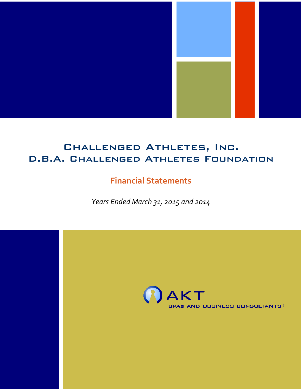

# Challenged Athletes, Inc. D.B.A. Challenged Athletes Foundation

# **Financial Statements**

*Years Ended March 31, 2015 and 2014*

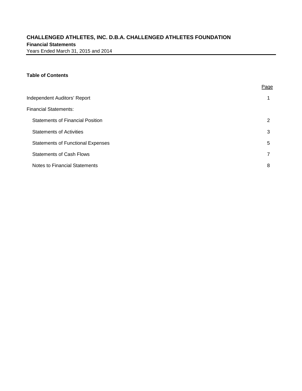# **CHALLENGED ATHLETES, INC. D.B.A. CHALLENGED ATHLETES FOUNDATION Financial Statements** Years Ended March 31, 2015 and 2014

## **Table of Contents**

|                                          | Page |
|------------------------------------------|------|
| Independent Auditors' Report             |      |
| <b>Financial Statements:</b>             |      |
| <b>Statements of Financial Position</b>  | 2    |
| <b>Statements of Activities</b>          | 3    |
| <b>Statements of Functional Expenses</b> | 5    |
| <b>Statements of Cash Flows</b>          |      |
| Notes to Financial Statements            | 8    |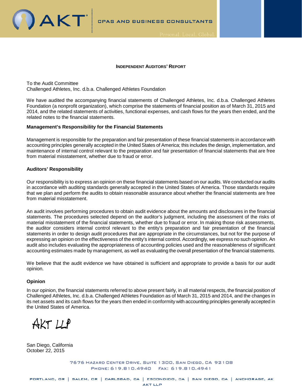



To the Audit Committee Challenged Athletes, Inc. d.b.a. Challenged Athletes Foundation

We have audited the accompanying financial statements of Challenged Athletes, Inc. d.b.a. Challenged Athletes Foundation (a nonprofit organization), which comprise the statements of financial position as of March 31, 2015 and 2014, and the related statements of activities, functional expenses, and cash flows for the years then ended, and the related notes to the financial statements.

#### **Management's Responsibility for the Financial Statements**

Management is responsible for the preparation and fair presentation of these financial statements in accordance with accounting principles generally accepted in the United States of America; this includes the design, implementation, and maintenance of internal control relevant to the preparation and fair presentation of financial statements that are free from material misstatement, whether due to fraud or error.

## **Auditors' Responsibility**

**DAKT** 

Our responsibility is to express an opinion on these financial statements based on our audits. We conducted our audits in accordance with auditing standards generally accepted in the United States of America. Those standards require that we plan and perform the audits to obtain reasonable assurance about whether the financial statements are free from material misstatement.

An audit involves performing procedures to obtain audit evidence about the amounts and disclosures in the financial statements. The procedures selected depend on the auditor's judgment, including the assessment of the risks of material misstatement of the financial statements, whether due to fraud or error. In making those risk assessments, the auditor considers internal control relevant to the entity's preparation and fair presentation of the financial statements in order to design audit procedures that are appropriate in the circumstances, but not for the purpose of expressing an opinion on the effectiveness of the entity's internal control. Accordingly, we express no such opinion. An audit also includes evaluating the appropriateness of accounting policies used and the reasonableness of significant accounting estimates made by management, as well as evaluating the overall presentation of the financial statements.

We believe that the audit evidence we have obtained is sufficient and appropriate to provide a basis for our audit opinion.

## **Opinion**

In our opinion, the financial statements referred to above present fairly, in all material respects, the financial position of Challenged Athletes, Inc. d.b.a. Challenged Athletes Foundation as of March 31, 2015 and 2014, and the changes in its net assets and its cash flows for the years then ended in conformity with accounting principles generally accepted in the United States of America.

 $AKTLLP$ 

San Diego, California October 22, 2015

> 7676 HAZARD CENTER DRIVE, SUITE 1300, SAN DIEGO, CA 92108 PHONE: 619.810.4940 FAX: 619.810.4941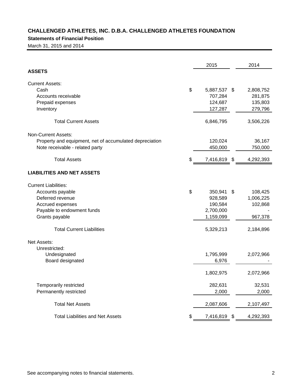# **Statements of Financial Position**

March 31, 2015 and 2014

|                                                                                                                                                                             | 2015                                                                       |      | 2014                                                    |
|-----------------------------------------------------------------------------------------------------------------------------------------------------------------------------|----------------------------------------------------------------------------|------|---------------------------------------------------------|
| <b>ASSETS</b>                                                                                                                                                               |                                                                            |      |                                                         |
| <b>Current Assets:</b><br>Cash<br>Accounts receivable<br>Prepaid expenses<br>Inventory                                                                                      | \$<br>5,887,537 \$<br>707,284<br>124,687<br>127,287                        |      | 2,808,752<br>281,875<br>135,803<br>279,796              |
| <b>Total Current Assets</b>                                                                                                                                                 | 6,846,795                                                                  |      | 3,506,226                                               |
| Non-Current Assets:<br>Property and equipment, net of accumulated depreciation<br>Note receivable - related party<br><b>Total Assets</b>                                    | \$<br>120,024<br>450,000<br>7,416,819 \$                                   |      | 36,167<br>750,000<br>4,292,393                          |
| <b>LIABILITIES AND NET ASSETS</b>                                                                                                                                           |                                                                            |      |                                                         |
| <b>Current Liabilities:</b><br>Accounts payable<br>Deferred revenue<br>Accrued expenses<br>Payable to endowment funds<br>Grants payable<br><b>Total Current Liabilities</b> | \$<br>350,941<br>928,589<br>190,584<br>2,700,000<br>1,159,099<br>5,329,213 | - \$ | 108,425<br>1,006,225<br>102,868<br>967,378<br>2,184,896 |
| <b>Net Assets:</b><br>Unrestricted:<br>Undesignated<br>Board designated                                                                                                     | 1,795,999<br>6,976<br>1,802,975                                            |      | 2,072,966<br>2,072,966                                  |
| Temporarily restricted<br>Permanently restricted                                                                                                                            | 282,631<br>2,000                                                           |      | 32,531<br>2,000                                         |
| <b>Total Net Assets</b>                                                                                                                                                     | 2,087,606                                                                  |      | 2,107,497                                               |
| <b>Total Liabilities and Net Assets</b>                                                                                                                                     | \$<br>7,416,819                                                            | \$   | 4,292,393                                               |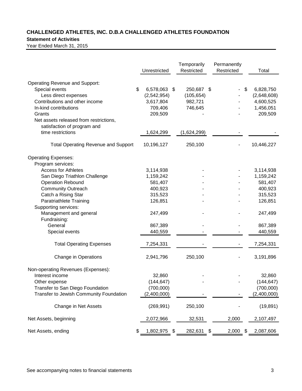# **Statement of Activities**

|                                            | Unrestricted       | Temporarily<br>Restricted | Permanently<br>Restricted | Total           |
|--------------------------------------------|--------------------|---------------------------|---------------------------|-----------------|
| <b>Operating Revenue and Support:</b>      |                    |                           |                           |                 |
| Special events                             | \$<br>6,578,063 \$ | 250,687 \$                |                           | \$<br>6,828,750 |
| Less direct expenses                       | (2,542,954)        | (105, 654)                |                           | (2,648,608)     |
| Contributions and other income             | 3,617,804          | 982,721                   |                           | 4,600,525       |
| In-kind contributions                      | 709,406            | 746,645                   |                           | 1,456,051       |
| Grants                                     | 209,509            |                           |                           | 209,509         |
| Net assets released from restrictions,     |                    |                           |                           |                 |
| satisfaction of program and                |                    |                           |                           |                 |
| time restrictions                          | 1,624,299          | (1,624,299)               |                           |                 |
| <b>Total Operating Revenue and Support</b> | 10,196,127         | 250,100                   |                           | 10,446,227      |
| <b>Operating Expenses:</b>                 |                    |                           |                           |                 |
| Program services:                          |                    |                           |                           |                 |
| <b>Access for Athletes</b>                 | 3,114,938          |                           |                           | 3,114,938       |
| San Diego Triathlon Challenge              | 1,159,242          |                           |                           | 1,159,242       |
| <b>Operation Rebound</b>                   | 581,407            |                           |                           | 581,407         |
| <b>Community Outreach</b>                  | 400,923            |                           |                           | 400,923         |
| Catch a Rising Star                        | 315,523            |                           |                           | 315,523         |
| Paratriathlete Training                    | 126,851            |                           |                           | 126,851         |
| Supporting services:                       |                    |                           |                           |                 |
| Management and general                     | 247,499            |                           |                           | 247,499         |
| Fundraising:                               |                    |                           |                           |                 |
| General                                    | 867,389            |                           |                           | 867,389         |
|                                            |                    |                           |                           |                 |
| Special events                             | 440,559            |                           |                           | 440,559         |
| <b>Total Operating Expenses</b>            | 7,254,331          |                           |                           | 7,254,331       |
| Change in Operations                       | 2,941,796          | 250,100                   |                           | 3,191,896       |
| Non-operating Revenues (Expenses):         |                    |                           |                           |                 |
| Interest income                            | 32,860             |                           |                           | 32,860          |
| Other expense                              | (144, 647)         |                           |                           | (144, 647)      |
| Transfer to San Diego Foundation           | (700,000)          |                           |                           | (700,000)       |
| Transfer to Jewish Community Foundation    | (2,400,000)        |                           |                           | (2,400,000)     |
| Change in Net Assets                       | (269, 991)         | 250,100                   |                           | (19, 891)       |
| Net Assets, beginning                      | 2,072,966          | 32,531                    | 2,000                     | 2,107,497       |
| Net Assets, ending                         | \$<br>1,802,975    | \$<br>282,631             | \$<br>2,000               | \$<br>2,087,606 |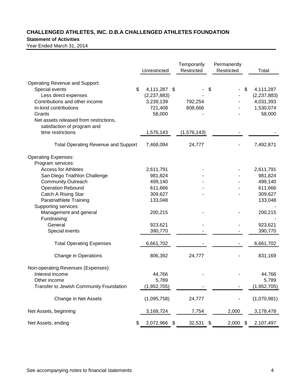# **Statement of Activities**

|                                            | Unrestricted       |     | Temporarily<br>Restricted | Permanently<br>Restricted | Total           |
|--------------------------------------------|--------------------|-----|---------------------------|---------------------------|-----------------|
| <b>Operating Revenue and Support:</b>      |                    |     |                           |                           |                 |
| Special events                             | \$<br>4,111,287 \$ |     |                           | \$                        | \$<br>4,111,287 |
| Less direct expenses                       | (2,237,883)        |     |                           |                           | (2, 237, 883)   |
| Contributions and other income             | 3,239,139          |     | 792,254                   |                           | 4,031,393       |
| In-kind contributions                      | 721,408            |     | 808,666                   |                           | 1,530,074       |
| Grants                                     | 58,000             |     |                           |                           | 58,000          |
| Net assets released from restrictions,     |                    |     |                           |                           |                 |
| satisfaction of program and                |                    |     |                           |                           |                 |
| time restrictions                          | 1,576,143          |     | (1,576,143)               |                           |                 |
| <b>Total Operating Revenue and Support</b> | 7,468,094          |     | 24,777                    |                           | 7,492,871       |
| <b>Operating Expenses:</b>                 |                    |     |                           |                           |                 |
| Program services:                          |                    |     |                           |                           |                 |
| <b>Access for Athletes</b>                 | 2,611,791          |     |                           |                           | 2,611,791       |
| San Diego Triathlon Challenge              | 981,824            |     |                           |                           | 981,824         |
| <b>Community Outreach</b>                  | 499,140            |     |                           |                           | 499,140         |
| <b>Operation Rebound</b>                   | 611,666            |     |                           |                           | 611,666         |
| Catch A Rising Star                        | 309,627            |     |                           |                           | 309,627         |
| Paratriathlete Training                    | 133,048            |     |                           |                           | 133,048         |
| Supporting services:                       |                    |     |                           |                           |                 |
| Management and general                     | 200,215            |     |                           |                           | 200,215         |
| Fundraising:                               |                    |     |                           |                           |                 |
| General                                    | 923,621            |     |                           |                           | 923,621         |
| Special events                             | 390,770            |     |                           |                           | 390,770         |
| <b>Total Operating Expenses</b>            | 6,661,702          |     |                           |                           | 6,661,702       |
| <b>Change in Operations</b>                | 806,392            |     | 24,777                    |                           | 831,169         |
| Non-operating Revenues (Expenses):         |                    |     |                           |                           |                 |
| Interest income                            | 44,766             |     |                           |                           | 44,766          |
| Other income                               | 5,789              |     |                           |                           | 5,789           |
| Transfer to Jewish Community Foundation    | (1,952,705)        |     |                           |                           | (1,952,705)     |
| Change in Net Assets                       | (1,095,758)        |     | 24,777                    |                           | (1,070,981)     |
| Net Assets, beginning                      | 3,168,724          |     | 7,754                     | 2,000                     | 3,178,478       |
| Net Assets, ending                         | \$<br>2,072,966    | -\$ | 32,531 \$                 | $2,000$ \$                | 2,107,497       |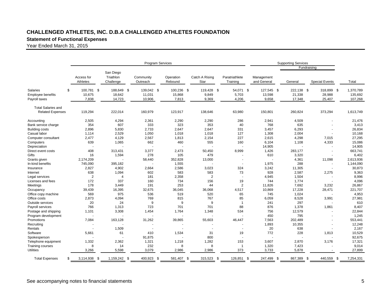# **Statement of Functional Expenses**

|                                                                    |                               |                                     | <b>Program Services</b>        |                               |                              |                             |                               |                                |                                |                                 |
|--------------------------------------------------------------------|-------------------------------|-------------------------------------|--------------------------------|-------------------------------|------------------------------|-----------------------------|-------------------------------|--------------------------------|--------------------------------|---------------------------------|
|                                                                    |                               |                                     |                                |                               |                              |                             |                               | <b>Supporting Services</b>     | Fundraising                    |                                 |
|                                                                    | Access for<br>Athletes        | San Diego<br>Triathlon<br>Challenge | Community<br>Outreach          | Operation<br>Rebound          | Catch A Rising<br>Star       | Paratriathlete<br>Training  | Management<br>and General     | General                        | <b>Special Events</b>          | Total                           |
| \$<br><b>Salaries</b><br><b>Employee benefits</b><br>Payroll taxes | 100,781 \$<br>10,675<br>7,838 | 188,649 \$<br>18,642<br>14,723      | 139,042 \$<br>11,031<br>10,906 | 100,236 \$<br>15,868<br>7,813 | 119,428 \$<br>9,849<br>9,369 | 54,071 \$<br>5,703<br>4,206 | 127,545 \$<br>13,598<br>9,658 | 222,138 \$<br>21,338<br>17,348 | 318,899 \$<br>28,988<br>25,407 | 1,370,789<br>135,692<br>107,268 |
| <b>Total Salaries and</b><br><b>Related Expenses</b>               | 119,294                       | 222,014                             | 160,979                        | 123,917                       | 138,646                      | 63,980                      | 150,801                       | 260,824                        | 373,294                        | 1,613,749                       |
| Accounting                                                         | 2,505                         | 4,294                               | 2,361                          | 2,290                         | 2,290                        | 286                         | 2,941                         | 4,509                          |                                | 21,476                          |
| Bank service charge                                                | 354                           | 607                                 | 333                            | 323                           | 353                          | 40                          | 768                           | 635                            |                                | 3,413                           |
| <b>Building costs</b>                                              | 2,896                         | 5,830                               | 2,733                          | 2,647                         | 2,647                        | 331                         | 3,457                         | 6,293                          | $\overline{a}$                 | 26,834                          |
| Casual labor                                                       | 1,114                         | 2,529                               | 1,050                          | 1,018                         | 1,018                        | 127                         | 1,308                         | 2,004                          | $\sim$                         | 10,168                          |
| Computer consultant                                                | 2,477                         | 4,129                               | 2,567                          | 1,813                         | 2,154                        | 227                         | 2,615                         | 4,298                          | 7,015                          | 27,295                          |
| Computers                                                          | 639                           | 1,065                               | 662                            | 460                           | 555                          | 160                         | 6,104                         | 1,108                          | 4,333                          | 15,086                          |
| Depreciation                                                       |                               |                                     |                                |                               |                              |                             | 14,905                        |                                |                                | 14,905                          |
| Direct event costs                                                 | 408                           | 313,431                             | 3,377                          | 2,473                         | 50,450                       | 8,999                       | 1,426                         | 283,177                        | ÷.                             | 663,741                         |
| Gifts                                                              | 16                            | 1,594                               | 278                            | 105                           | 479                          |                             | 610                           | 3,320                          |                                | 6,402                           |
| Grants given                                                       | 2,174,209                     |                                     | 58,440                         | 352,828                       | 13,000                       |                             |                               | 4,361                          | 11,098                         | 2,613,936                       |
| In-kind benefits                                                   | 745,090                       | 395,182                             |                                | 1,555                         |                              | $\overline{\phantom{a}}$    | 1,975                         | 288                            | $\sim$                         | 1,144,090                       |
| Insurance                                                          | 2,827                         | 4,902                               | 2,664                          | 2,586                         | 3,023                        | 324                         | 3,242                         | 11,305                         |                                | 30,873                          |
| Internet                                                           | 638                           | 1,094                               | 602                            | 583                           | 583                          | 73                          | 928                           | 2,587                          | 2,275                          | 9,363                           |
| Legal services                                                     | $\overline{2}$                | $\overline{4}$                      | 181                            | 2,358                         | $\overline{2}$               |                             | 4,945                         | 1,504                          |                                | 8,996                           |
| Licenses and fees                                                  | 172                           | 337                                 | 160                            | 734                           | 156                          | 19                          | 744                           | 1,774                          |                                | 4,096                           |
| Meetings                                                           | 178                           | 3,449                               | 191                            | 253                           | 44                           | 2                           | 11,826                        | 7,692                          | 3,232                          | 26,867                          |
| Occupancy                                                          | 39,439                        | 16,395                              | 32,675                         | 36,045                        | 36,068                       | 4,517                       | 10,869                        | 17,228                         | 28,471                         | 221,707                         |
| Office copy machine                                                | 569                           | 975                                 | 536                            | 519                           | 520                          | 65                          | 745                           | 1,024                          |                                | 4,953                           |
| Office costs                                                       | 2,873                         | 4,094                               | 769                            | 815                           | 767                          | 85                          | 6,059                         | 8,528                          | 3,991                          | 27,981                          |
| Outside services                                                   | 20                            | 24                                  | 9                              | 9                             | 9                            | $\overline{1}$              | 241                           | 297                            |                                | 610                             |
| Payroll services                                                   | 766                           | 1,313                               | 723                            | 701                           | 701                          | 88                          | 876                           | 1,378                          | 1,861                          | 8,407                           |
| Postage and shipping                                               | 1,101                         | 3,308                               | 1,454                          | 1,764                         | 1,348                        | 534                         | 756                           | 12,579                         |                                | 22,844                          |
| Program development                                                |                               |                                     |                                |                               |                              |                             | 450                           | 795                            |                                | 1,245                           |
| Promotions                                                         | 7,084                         | 163,128                             | 31,262                         | 39,865                        | 55,603                       | 46,447                      | 7,563                         | 202,489                        |                                | 553,441                         |
| Recruiting                                                         |                               |                                     |                                |                               |                              |                             | 1,893                         | 10,355                         |                                | 12,248                          |
| Rentals                                                            |                               | 1,509                               |                                |                               | $\overline{\phantom{a}}$     | $\overline{\phantom{a}}$    | 20                            | 638                            | ÷                              | 2,167                           |
| Software                                                           | 5,661                         | 61                                  | 410                            | 1,534                         | 31                           | 19                          | 772                           | 228                            | 1,813                          | 10,529                          |
|                                                                    |                               |                                     | 91,875                         |                               |                              |                             |                               |                                |                                | 92,675                          |
| Spokesperson                                                       |                               |                                     |                                |                               | 800                          |                             |                               |                                |                                |                                 |
| Telephone equipment                                                | 1,332                         | 2,362                               | 1,321                          | 1,218                         | 1,282                        | 153                         | 3,607                         | 2,870                          | 3,176                          | 17,321                          |
| Training courses                                                   | 8                             | 14                                  | 232                            | 8                             | 8                            | $\overline{\mathbf{1}}$     | 1,320                         | 7,423                          |                                | 9,014                           |
| <b>Utilities</b>                                                   | 3,266                         | 5,598                               | 3,079                          | 2,986                         | 2,986                        | 373                         | 3,733                         | 5,878                          |                                | 27,899                          |
| <b>Total Expenses</b><br>S                                         | 3,114,938<br>-\$              | 1,159,242<br>- \$                   | 400,923<br>\$                  | 581,407<br>-\$                | 315,523<br>- \$              | 126,851                     | 247,499<br>\$<br>- \$         | 867,389                        | 440,559<br>- \$<br>£.          | 7,254,331                       |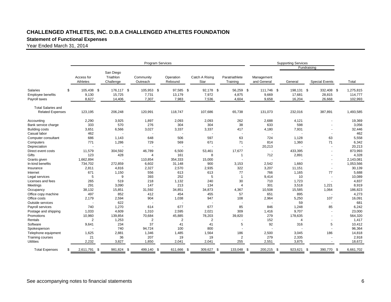# **Statement of Functional Expenses**

|                                       | <b>Program Services</b> |                                     |                       |                      |                               |                            | <b>Supporting Services</b> |              |                       |                 |
|---------------------------------------|-------------------------|-------------------------------------|-----------------------|----------------------|-------------------------------|----------------------------|----------------------------|--------------|-----------------------|-----------------|
|                                       | Fundraising             |                                     |                       |                      |                               |                            |                            |              |                       |                 |
|                                       | Access for<br>Athletes  | San Diego<br>Triathlon<br>Challenge | Community<br>Outreach | Operation<br>Rebound | Catch A Rising<br>Star        | Paratriathlete<br>Training | Management<br>and General  | General      | <b>Special Events</b> | Total           |
| <b>Salaries</b><br>\$                 | 105.438 \$              | 176.117 \$                          | 105.953 \$            | 97.585 \$            | 92.178 \$                     | 56.259 \$                  | 111.746 \$                 | 198.131 \$   | 332.408<br>- \$       | 1.275.815       |
| <b>Employee benefits</b>              | 9,130                   | 15,725                              | 7,731                 | 13,179               | 7,972                         | 4,875                      | 9,669                      | 17,681       | 28,815                | 114,777         |
| Payroll taxes                         | 8,627                   | 14,406                              | 7,307                 | 7,983                | 7,536                         | 4,604                      | 9,658                      | 16,204       | 26,668                | 102,993         |
|                                       |                         |                                     |                       |                      |                               |                            |                            |              |                       |                 |
| <b>Total Salaries and</b>             |                         |                                     |                       |                      |                               |                            |                            |              |                       |                 |
| <b>Related Expenses</b>               | 123,195                 | 206,248                             | 120,991               | 118,747              | 107,686                       | 65,738                     | 131,073                    | 232,016      | 387,891               | 1,493,585       |
|                                       |                         |                                     | 1,897                 |                      |                               | 262                        | 2,688                      |              |                       |                 |
| Accounting                            | 2,290<br>333            | 3,925<br>570                        | 276                   | 2,093<br>304         | 2,093<br>304                  | 38                         | 633                        | 4,121<br>598 |                       | 19,369<br>3,056 |
| Bank service charge                   |                         |                                     |                       |                      |                               | 417                        |                            |              |                       |                 |
| <b>Building costs</b><br>Casual labor | 3,651<br>462            | 6,566                               | 3,027                 | 3,337                | 3,337<br>$\ddot{\phantom{1}}$ |                            | 4,180                      | 7,931        |                       | 32,446<br>462   |
| Computer consultant                   | 686                     | 1,143                               | 648                   | 506                  | 597                           | 63                         | 724                        | 1,128        | 63                    | 5,558           |
| Computers                             | 771                     | 1,286                               | 729                   | 569                  | 671                           | 71                         | 814                        | 1,360        | 71                    | 6,342           |
| Depreciation                          |                         |                                     |                       |                      |                               |                            | 20,213                     |              | ÷,                    | 20,213          |
| Direct event costs                    | 11,579                  | 304,592                             | 46,789                | 6,500                | 53,461                        | 17,677                     |                            | 433,395      |                       | 873,993         |
| Gifts                                 | 123                     | 428                                 | $\overline{4}$        | 161                  | 8                             | $\mathbf{1}$               | 712                        | 2,891        |                       | 4,328           |
| Grants given                          | 1,662,894               |                                     | 110,854               | 354,333              | 15,000                        |                            |                            |              |                       | 2,143,081       |
| In-kind benefits                      | 734,702                 | 272,859                             | 6,602                 | 31,148               | 900                           | 3,153                      | 2,542                      | 1,660        | $\sim$                | 1,053,566       |
| Insurance                             | 2,811                   | 4,816                               | 2,327                 | 2,570                | 2,935                         | 322                        | 3,207                      | 11,151       | $\sim$                | 30,139          |
| Internet                              | 671                     | 1,150                               | 556                   | 613                  | 613                           | 77                         | 766                        | 1,165        | 77                    | 5,688           |
| Legal services                        | 5                       | 9                                   | 393                   | 252                  | 5                             | $\overline{1}$             | 9,414                      | 10           | $\sim$                | 10,089          |
| Licenses and fees                     | 265                     | 519                                 | 218                   | 1,132                | 240                           | 30                         | 710                        | 1,723        | ÷.                    | 4,837           |
| Meetings                              | 291                     | 3,090                               | 147                   | 213                  | 134                           | $\overline{4}$             | 301                        | 3,518        | 1,221                 | 8,919           |
| Occupancy                             | 38,132                  | 15,851                              | 31,592                | 34,851               | 34,873                        | 4,367                      | 10,508                     | 15,585       | 1,064                 | 186,823         |
| Office copy machine                   | 497                     | 852                                 | 412                   | 454                  | 455                           | 57                         | 651                        | 895          |                       | 4,273           |
| Office costs                          | 2.179                   | 2,594                               | 904                   | 1,038                | 947                           | 108                        | 2,964                      | 5,250        | 107                   | 16,091          |
| Outside services                      |                         | 622                                 |                       |                      |                               |                            |                            | 59           |                       | 681             |
| Payroll services                      | 740                     | 1,270                               | 614                   | 677                  | 677                           | 85                         | 846                        | 1,248        | 85                    | 6,242           |
| Postage and shipping                  | 1.033                   | 4,609                               | 1,310                 | 2.595                | 2,021                         | 309                        | 1,416                      | 9,707        | ÷.                    | 23,000          |
| Promotions                            | 10,960                  | 139,854                             | 70,684                | 45,885               | 78,203                        | 39,820                     | 279                        | 178,635      | $\blacksquare$        | 564,320         |
| Rentals                               | $\overline{2}$          | 1,253                               | $\overline{2}$        | $\overline{2}$       | $\overline{2}$                |                            | 152                        | $\Delta$     |                       | 1,417           |
| Software                              | 9,641                   | 234                                 | 37                    | 41                   | 41                            | 5                          | 92                         | 316          | 5                     | 10,412          |
| Spokesperson                          |                         | 740                                 | 94,724                | 100                  | 800                           |                            |                            |              | ÷,                    | 96,364          |
| Telephone equipment                   | 1,625                   | 2,881                               | 1,346                 | 1,485                | 1,564                         | 186                        | 2,500                      | 3,045        | 186                   | 14,818          |
| <b>Training courses</b>               | 21                      | 36                                  | 207                   | 19                   | 19                            | $\overline{2}$             | 279                        | 2,335        |                       | 2,918           |
| <b>Utilities</b>                      | 2,232                   | 3,827                               | 1,850                 | 2,041                | 2,041                         | 255                        | 2,551                      | 3,875        |                       | 18,672          |
| <b>Total Expenses</b>                 | 2,611,791 \$            | 981,824<br>- \$                     | 499,140<br>- \$       | 611,666 \$           | 309,627 \$                    | 133,048 \$                 | 200,215 \$                 | 923,621 \$   | 390,770<br>- \$       | 6,661,702       |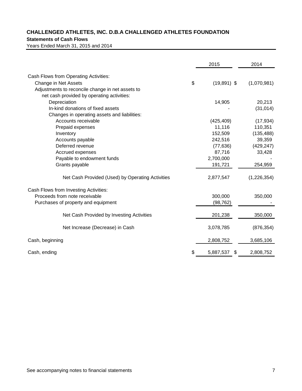## **Statements of Cash Flows**

Years Ended March 31, 2015 and 2014

|                                                  | 2015                | 2014        |
|--------------------------------------------------|---------------------|-------------|
| Cash Flows from Operating Activities:            |                     |             |
| Change in Net Assets                             | \$<br>$(19,891)$ \$ | (1,070,981) |
| Adjustments to reconcile change in net assets to |                     |             |
| net cash provided by operating activities:       |                     |             |
| Depreciation                                     | 14,905              | 20,213      |
| In-kind donations of fixed assets                |                     | (31, 014)   |
| Changes in operating assets and liabilities:     |                     |             |
| Accounts receivable                              | (425, 409)          | (17, 934)   |
| Prepaid expenses                                 | 11,116              | 110,351     |
| Inventory                                        | 152,509             | (135, 488)  |
| Accounts payable                                 | 242,516             | 39,359      |
| Deferred revenue                                 | (77, 636)           | (429, 247)  |
| Accrued expenses                                 | 87,716              | 33,428      |
| Payable to endowment funds                       | 2,700,000           |             |
| Grants payable                                   | 191,721             | 254,959     |
| Net Cash Provided (Used) by Operating Activities | 2,877,547           | (1,226,354) |
| Cash Flows from Investing Activities:            |                     |             |
| Proceeds from note receivable                    | 300,000             | 350,000     |
| Purchases of property and equipment              | (98, 762)           |             |
| Net Cash Provided by Investing Activities        | 201,238             | 350,000     |
| Net Increase (Decrease) in Cash                  | 3,078,785           | (876, 354)  |
| Cash, beginning                                  | 2,808,752           | 3,685,106   |
| Cash, ending                                     | \$<br>5,887,537     | 2,808,752   |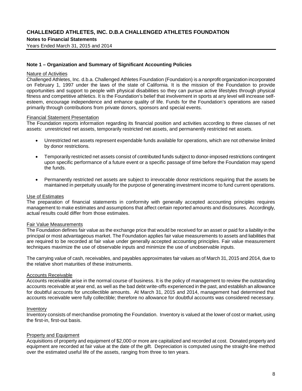## **Notes to Financial Statements**

Years Ended March 31, 2015 and 2014

#### **Note 1 – Organization and Summary of Significant Accounting Policies**

#### Nature of Activities

Challenged Athletes, Inc. d.b.a. Challenged Athletes Foundation (Foundation) is a nonprofit organization incorporated on February 1, 1997 under the laws of the state of California. It is the mission of the Foundation to provide opportunities and support to people with physical disabilities so they can pursue active lifestyles through physical fitness and competitive athletics. It is the Foundation's belief that involvement in sports at any level will increase selfesteem, encourage independence and enhance quality of life. Funds for the Foundation's operations are raised primarily through contributions from private donors, sponsors and special events.

#### Financial Statement Presentation

The Foundation reports information regarding its financial position and activities according to three classes of net assets: unrestricted net assets, temporarily restricted net assets, and permanently restricted net assets.

- Unrestricted net assets represent expendable funds available for operations, which are not otherwise limited by donor restrictions.
- Temporarily restricted net assets consist of contributed funds subject to donor-imposed restrictions contingent upon specific performance of a future event or a specific passage of time before the Foundation may spend the funds.
- Permanently restricted net assets are subject to irrevocable donor restrictions requiring that the assets be maintained in perpetuity usually for the purpose of generating investment income to fund current operations.

#### Use of Estimates

The preparation of financial statements in conformity with generally accepted accounting principles requires management to make estimates and assumptions that affect certain reported amounts and disclosures. Accordingly, actual results could differ from those estimates.

## Fair Value Measurements

The Foundation defines fair value as the exchange price that would be received for an asset or paid for a liability in the principal or most advantageous market. The Foundation applies fair value measurements to assets and liabilities that are required to be recorded at fair value under generally accepted accounting principles. Fair value measurement techniques maximize the use of observable inputs and minimize the use of unobservable inputs.

The carrying value of cash, receivables, and payables approximates fair values as of March 31, 2015 and 2014, due to the relative short maturities of these instruments.

## Accounts Receivable

Accounts receivable arise in the normal course of business. It is the policy of management to review the outstanding accounts receivable at year end, as well as the bad debt write-offs experienced in the past, and establish an allowance for doubtful accounts for uncollectible amounts. At March 31, 2015 and 2014, management had determined that accounts receivable were fully collectible; therefore no allowance for doubtful accounts was considered necessary.

#### Inventory

Inventory consists of merchandise promoting the Foundation. Inventory is valued at the lower of cost or market, using the first-in, first-out basis.

#### Property and Equipment

Acquisitions of property and equipment of \$2,000 or more are capitalized and recorded at cost. Donated property and equipment are recorded at fair value at the date of the gift. Depreciation is computed using the straight-line method over the estimated useful life of the assets, ranging from three to ten years.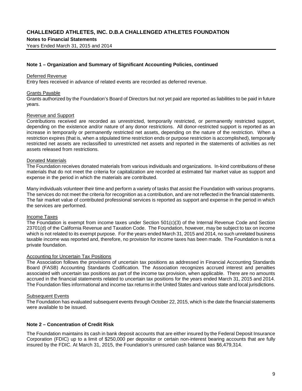#### **Notes to Financial Statements**

Years Ended March 31, 2015 and 2014

## **Note 1 – Organization and Summary of Significant Accounting Policies, continued**

#### Deferred Revenue

Entry fees received in advance of related events are recorded as deferred revenue.

#### Grants Payable

Grants authorized by the Foundation's Board of Directors but not yet paid are reported as liabilities to be paid in future years.

#### Revenue and Support

Contributions received are recorded as unrestricted, temporarily restricted, or permanently restricted support, depending on the existence and/or nature of any donor restrictions. All donor-restricted support is reported as an increase in temporarily or permanently restricted net assets, depending on the nature of the restriction. When a restriction expires (that is, when a stipulated time restriction ends or purpose restriction is accomplished), temporarily restricted net assets are reclassified to unrestricted net assets and reported in the statements of activities as net assets released from restrictions.

### Donated Materials

The Foundation receives donated materials from various individuals and organizations. In-kind contributions of these materials that do not meet the criteria for capitalization are recorded at estimated fair market value as support and expense in the period in which the materials are contributed.

Many individuals volunteer their time and perform a variety of tasks that assist the Foundation with various programs. The services do not meet the criteria for recognition as a contribution, and are not reflected in the financial statements. The fair market value of contributed professional services is reported as support and expense in the period in which the services are performed.

## Income Taxes

The Foundation is exempt from income taxes under Section 501(c)(3) of the Internal Revenue Code and Section 23701(d) of the California Revenue and Taxation Code. The Foundation, however, may be subject to tax on income which is not related to its exempt purpose. For the years ended March 31, 2015 and 2014, no such unrelated business taxable income was reported and, therefore, no provision for income taxes has been made. The Foundation is not a private foundation.

#### Accounting for Uncertain Tax Positions

The Association follows the provisions of uncertain tax positions as addressed in Financial Accounting Standards Board (FASB) Accounting Standards Codification. The Association recognizes accrued interest and penalties associated with uncertain tax positions as part of the income tax provision, when applicable. There are no amounts accrued in the financial statements related to uncertain tax positions for the years ended March 31, 2015 and 2014. The Foundation files informational and income tax returns in the United States and various state and local jurisdictions.

#### Subsequent Events

The Foundation has evaluated subsequent events through October 22, 2015, which is the date the financial statements were available to be issued.

## **Note 2 – Concentration of Credit Risk**

The Foundation maintains its cash in bank deposit accounts that are either insured by the Federal Deposit Insurance Corporation (FDIC) up to a limit of \$250,000 per depositor or certain non-interest bearing accounts that are fully insured by the FDIC. At March 31, 2015, the Foundation's uninsured cash balance was \$6,479,314.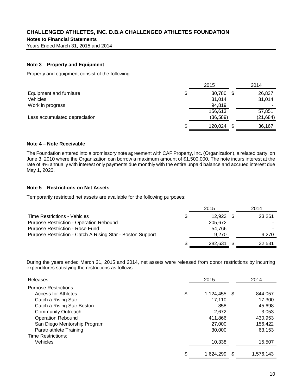**Notes to Financial Statements**

Years Ended March 31, 2015 and 2014

## **Note 3 – Property and Equipment**

Property and equipment consist of the following:

|                               | 2015          |      | 2014      |
|-------------------------------|---------------|------|-----------|
| Equipment and furniture       | \$<br>30,780  | - \$ | 26,837    |
| Vehicles                      | 31,014        |      | 31,014    |
| Work in progress              | 94,819        |      |           |
|                               | 156,613       |      | 57,851    |
| Less accumulated depreciation | (36, 589)     |      | (21, 684) |
|                               | \$<br>120.024 | \$.  | 36,167    |

## **Note 4 – Note Receivable**

The Foundation entered into a promissory note agreement with CAF Property, Inc. (Organization), a related party, on June 3, 2010 where the Organization can borrow a maximum amount of \$1,500,000. The note incurs interest at the rate of 4% annually with interest only payments due monthly with the entire unpaid balance and accrued interest due May 1, 2020.

## **Note 5 – Restrictions on Net Assets**

Temporarily restricted net assets are available for the following purposes:

|                                                            |    | 2015    | 2014   |
|------------------------------------------------------------|----|---------|--------|
| <b>Time Restrictions - Vehicles</b>                        | \$ | 12.923  | 23.261 |
| <b>Purpose Restriction - Operation Rebound</b>             |    | 205,672 |        |
| <b>Purpose Restriction - Rose Fund</b>                     |    | 54.766  |        |
| Purpose Restriction - Catch A Rising Star - Boston Support |    | 9.270   | 9,270  |
|                                                            | S  | 282.631 | 32.531 |

During the years ended March 31, 2015 and 2014, net assets were released from donor restrictions by incurring expenditures satisfying the restrictions as follows:

| Releases:                    | 2015            |      | 2014      |
|------------------------------|-----------------|------|-----------|
| <b>Purpose Restrictions:</b> |                 |      |           |
| <b>Access for Athletes</b>   | \$<br>1,124,455 | - \$ | 844.057   |
| Catch a Rising Star          | 17,110          |      | 17,300    |
| Catch a Rising Star Boston   | 858             |      | 45,698    |
| <b>Community Outreach</b>    | 2,672           |      | 3,053     |
| <b>Operation Rebound</b>     | 411,866         |      | 430,953   |
| San Diego Mentorship Program | 27,000          |      | 156,422   |
| Paratriathlete Training      | 30,000          |      | 63,153    |
| Time Restrictions:           |                 |      |           |
| <b>Vehicles</b>              | 10,338          |      | 15,507    |
|                              | \$<br>1.624.299 | S    | 1.576.143 |